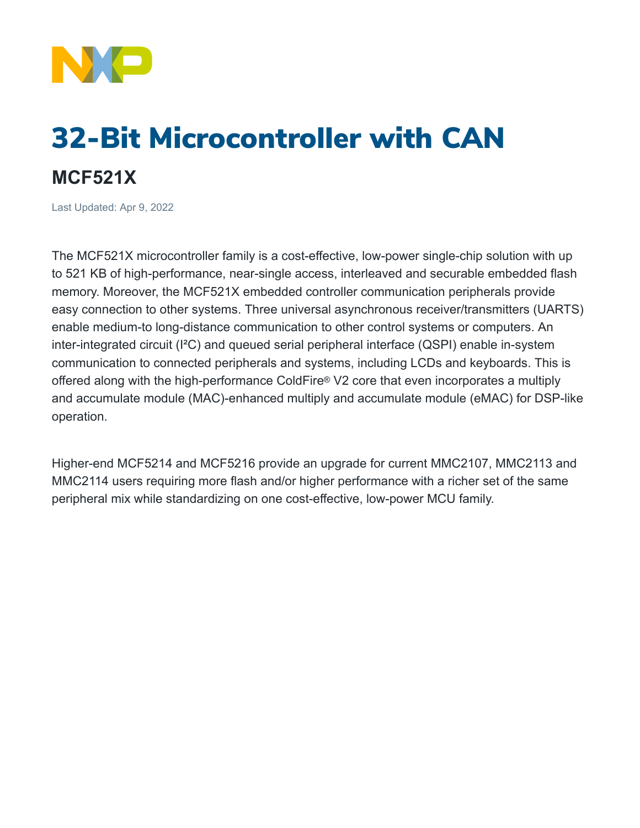

## 32-Bit Microcontroller with CAN **MCF521X**

Last Updated: Apr 9, 2022

The MCF521X microcontroller family is a cost-effective, low-power single-chip solution with up to 521 KB of high-performance, near-single access, interleaved and securable embedded flash memory. Moreover, the MCF521X embedded controller communication peripherals provide easy connection to other systems. Three universal asynchronous receiver/transmitters (UARTS) enable medium-to long-distance communication to other control systems or computers. An inter-integrated circuit (I²C) and queued serial peripheral interface (QSPI) enable in-system communication to connected peripherals and systems, including LCDs and keyboards. This is offered along with the high-performance ColdFire® V2 core that even incorporates a multiply and accumulate module (MAC)-enhanced multiply and accumulate module (eMAC) for DSP-like operation.

Higher-end MCF5214 and MCF5216 provide an upgrade for current MMC2107, MMC2113 and MMC2114 users requiring more flash and/or higher performance with a richer set of the same peripheral mix while standardizing on one cost-effective, low-power MCU family.